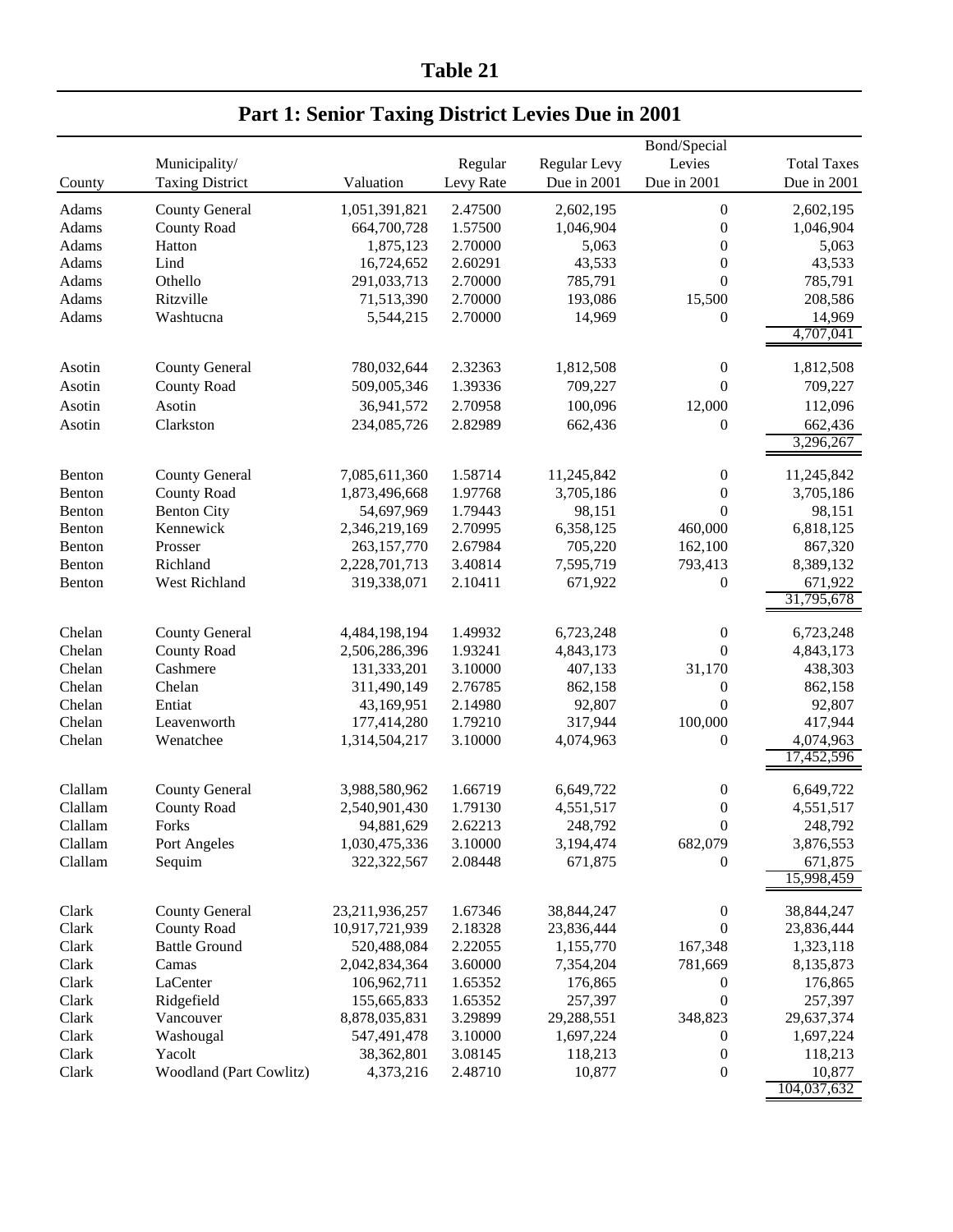**Table 21**

|         |                         |                |           |              | Bond/Special     |                       |
|---------|-------------------------|----------------|-----------|--------------|------------------|-----------------------|
|         | Municipality/           |                | Regular   | Regular Levy | Levies           | <b>Total Taxes</b>    |
| County  | <b>Taxing District</b>  | Valuation      | Levy Rate | Due in 2001  | Due in 2001      | Due in 2001           |
| Adams   | <b>County General</b>   | 1,051,391,821  | 2.47500   | 2,602,195    | $\boldsymbol{0}$ | 2,602,195             |
| Adams   | <b>County Road</b>      | 664,700,728    | 1.57500   | 1,046,904    | $\boldsymbol{0}$ | 1,046,904             |
| Adams   | Hatton                  | 1,875,123      | 2.70000   | 5,063        | $\boldsymbol{0}$ | 5,063                 |
| Adams   | Lind                    | 16,724,652     | 2.60291   | 43,533       | $\boldsymbol{0}$ | 43,533                |
| Adams   | Othello                 | 291,033,713    | 2.70000   | 785,791      | $\overline{0}$   | 785,791               |
| Adams   | Ritzville               | 71,513,390     | 2.70000   | 193,086      | 15,500           | 208,586               |
| Adams   | Washtucna               | 5,544,215      | 2.70000   | 14,969       | 0                | 14,969                |
|         |                         |                |           |              |                  | 4,707,041             |
|         |                         |                |           |              |                  |                       |
| Asotin  | <b>County General</b>   | 780,032,644    | 2.32363   | 1,812,508    | $\boldsymbol{0}$ | 1,812,508             |
| Asotin  | <b>County Road</b>      | 509,005,346    | 1.39336   | 709,227      | $\boldsymbol{0}$ | 709,227               |
| Asotin  | Asotin                  | 36,941,572     | 2.70958   | 100,096      | 12,000           | 112,096               |
| Asotin  | Clarkston               | 234,085,726    | 2.82989   | 662,436      | 0                | 662,436               |
|         |                         |                |           |              |                  | 3,296,267             |
| Benton  | <b>County General</b>   | 7,085,611,360  | 1.58714   | 11,245,842   | $\boldsymbol{0}$ | 11,245,842            |
| Benton  | <b>County Road</b>      | 1,873,496,668  | 1.97768   | 3,705,186    | 0                | 3,705,186             |
| Benton  | <b>Benton City</b>      | 54,697,969     | 1.79443   | 98,151       | $\overline{0}$   | 98,151                |
| Benton  | Kennewick               | 2,346,219,169  | 2.70995   | 6,358,125    | 460,000          | 6,818,125             |
| Benton  | Prosser                 | 263,157,770    | 2.67984   | 705,220      | 162,100          | 867,320               |
| Benton  | Richland                | 2,228,701,713  | 3.40814   | 7,595,719    | 793,413          | 8,389,132             |
| Benton  | West Richland           | 319,338,071    | 2.10411   | 671,922      | $\boldsymbol{0}$ | 671,922               |
|         |                         |                |           |              |                  | 31,795,678            |
| Chelan  | <b>County General</b>   | 4,484,198,194  | 1.49932   | 6,723,248    | $\boldsymbol{0}$ | 6,723,248             |
| Chelan  | <b>County Road</b>      | 2,506,286,396  | 1.93241   | 4,843,173    | $\overline{0}$   | 4,843,173             |
| Chelan  | Cashmere                | 131,333,201    | 3.10000   | 407,133      | 31,170           | 438,303               |
| Chelan  | Chelan                  | 311,490,149    | 2.76785   | 862,158      | 0                | 862,158               |
| Chelan  | Entiat                  | 43,169,951     | 2.14980   | 92,807       | $\boldsymbol{0}$ | 92,807                |
| Chelan  | Leavenworth             | 177,414,280    | 1.79210   | 317,944      | 100,000          | 417,944               |
| Chelan  | Wenatchee               | 1,314,504,217  | 3.10000   | 4,074,963    | 0                | 4,074,963             |
|         |                         |                |           |              |                  | 17,452,596            |
|         |                         |                |           |              |                  |                       |
| Clallam | <b>County General</b>   | 3,988,580,962  | 1.66719   | 6,649,722    | $\boldsymbol{0}$ | 6,649,722             |
| Clallam | <b>County Road</b>      | 2,540,901,430  | 1.79130   | 4,551,517    | $\boldsymbol{0}$ | 4,551,517             |
| Clallam | Forks                   | 94,881,629     | 2.62213   | 248,792      | $\theta$         | 248,792               |
| Clallam | Port Angeles            | 1,030,475,336  | 3.10000   | 3,194,474    | 682,079          | 3,876,553             |
| Clallam | Sequim                  | 322,322,567    | 2.08448   | 671,875      | 0                | 671,875<br>15,998,459 |
|         |                         |                |           |              |                  |                       |
| Clark   | <b>County General</b>   | 23,211,936,257 | 1.67346   | 38,844,247   | $\boldsymbol{0}$ | 38,844,247            |
| Clark   | <b>County Road</b>      | 10,917,721,939 | 2.18328   | 23,836,444   | 0                | 23,836,444            |
| Clark   | <b>Battle Ground</b>    | 520,488,084    | 2.22055   | 1,155,770    | 167,348          | 1,323,118             |
| Clark   | Camas                   | 2,042,834,364  | 3.60000   | 7,354,204    | 781,669          | 8,135,873             |
| Clark   | LaCenter                | 106,962,711    | 1.65352   | 176,865      | $\boldsymbol{0}$ | 176,865               |
| Clark   | Ridgefield              | 155,665,833    | 1.65352   | 257,397      | $\boldsymbol{0}$ | 257,397               |
| Clark   | Vancouver               | 8,878,035,831  | 3.29899   | 29,288,551   | 348,823          | 29,637,374            |
| Clark   | Washougal               | 547,491,478    | 3.10000   | 1,697,224    | 0                | 1,697,224             |
| Clark   | Yacolt                  | 38,362,801     | 3.08145   | 118,213      | $\boldsymbol{0}$ | 118,213               |
| Clark   | Woodland (Part Cowlitz) | 4,373,216      | 2.48710   | 10,877       | $\boldsymbol{0}$ | 10,877                |
|         |                         |                |           |              |                  | 104,037,632           |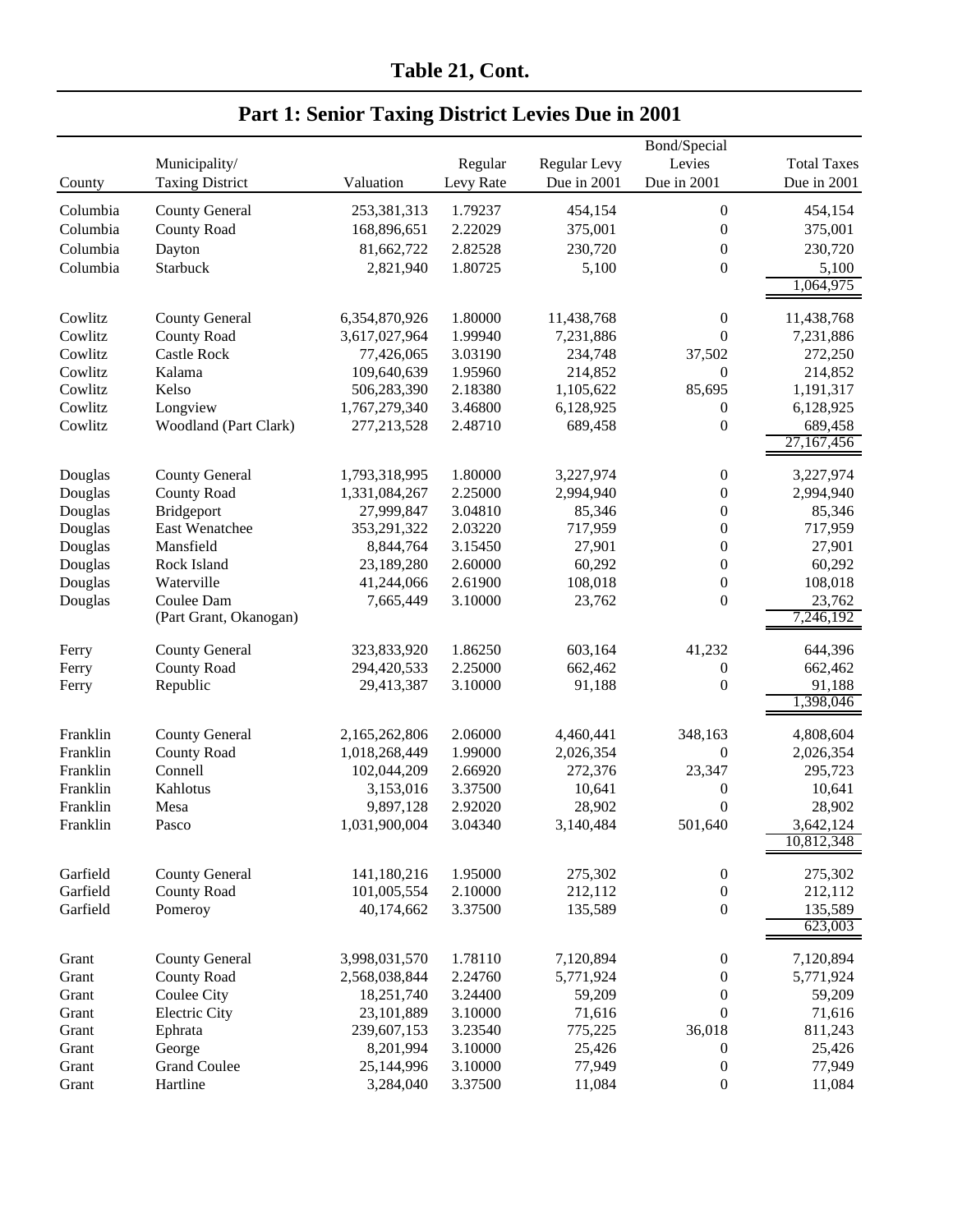|          |                        |               | Bond/Special |              |                  |                       |
|----------|------------------------|---------------|--------------|--------------|------------------|-----------------------|
|          | Municipality/          |               | Regular      | Regular Levy | Levies           | <b>Total Taxes</b>    |
| County   | <b>Taxing District</b> | Valuation     | Levy Rate    | Due in 2001  | Due in 2001      | Due in 2001           |
|          |                        |               |              |              |                  |                       |
| Columbia | <b>County General</b>  | 253,381,313   | 1.79237      | 454,154      | $\boldsymbol{0}$ | 454,154               |
| Columbia | <b>County Road</b>     | 168,896,651   | 2.22029      | 375,001      | $\boldsymbol{0}$ | 375,001               |
| Columbia | Dayton                 | 81,662,722    | 2.82528      | 230,720      | $\boldsymbol{0}$ | 230,720               |
| Columbia | Starbuck               | 2,821,940     | 1.80725      | 5,100        | 0                | 5,100                 |
|          |                        |               |              |              |                  | 1,064,975             |
| Cowlitz  | <b>County General</b>  | 6,354,870,926 | 1.80000      | 11,438,768   | 0                | 11,438,768            |
| Cowlitz  | <b>County Road</b>     | 3,617,027,964 | 1.99940      | 7,231,886    | $\boldsymbol{0}$ | 7,231,886             |
| Cowlitz  | <b>Castle Rock</b>     | 77,426,065    | 3.03190      | 234,748      | 37,502           | 272,250               |
| Cowlitz  | Kalama                 | 109,640,639   | 1.95960      | 214,852      | $\boldsymbol{0}$ | 214,852               |
|          | Kelso                  |               |              |              | 85,695           |                       |
| Cowlitz  |                        | 506,283,390   | 2.18380      | 1,105,622    |                  | 1,191,317             |
| Cowlitz  | Longview               | 1,767,279,340 | 3.46800      | 6,128,925    | 0                | 6,128,925             |
| Cowlitz  | Woodland (Part Clark)  | 277,213,528   | 2.48710      | 689,458      | 0                | 689,458<br>27,167,456 |
|          |                        |               |              |              |                  |                       |
| Douglas  | <b>County General</b>  | 1,793,318,995 | 1.80000      | 3,227,974    | 0                | 3,227,974             |
| Douglas  | <b>County Road</b>     | 1,331,084,267 | 2.25000      | 2,994,940    | 0                | 2,994,940             |
| Douglas  | Bridgeport             | 27,999,847    | 3.04810      | 85,346       | $\boldsymbol{0}$ | 85,346                |
| Douglas  | East Wenatchee         | 353,291,322   | 2.03220      | 717,959      | $\boldsymbol{0}$ | 717,959               |
| Douglas  | Mansfield              | 8,844,764     | 3.15450      | 27,901       | 0                | 27,901                |
| Douglas  | Rock Island            | 23,189,280    | 2.60000      | 60,292       | $\boldsymbol{0}$ | 60,292                |
| Douglas  | Waterville             | 41,244,066    | 2.61900      | 108,018      | $\boldsymbol{0}$ | 108,018               |
| Douglas  | Coulee Dam             | 7,665,449     | 3.10000      | 23,762       | $\boldsymbol{0}$ | 23,762                |
|          | (Part Grant, Okanogan) |               |              |              |                  | 7,246,192             |
| Ferry    | <b>County General</b>  | 323,833,920   | 1.86250      | 603,164      | 41,232           | 644,396               |
| Ferry    | <b>County Road</b>     | 294,420,533   | 2.25000      | 662,462      | 0                | 662,462               |
| Ferry    | Republic               | 29,413,387    | 3.10000      | 91,188       | $\boldsymbol{0}$ | 91,188                |
|          |                        |               |              |              |                  | 1,398,046             |
|          |                        |               |              |              |                  |                       |
| Franklin | <b>County General</b>  | 2,165,262,806 | 2.06000      | 4,460,441    | 348,163          | 4,808,604             |
| Franklin | <b>County Road</b>     | 1,018,268,449 | 1.99000      | 2,026,354    | 0                | 2,026,354             |
| Franklin | Connell                | 102,044,209   | 2.66920      | 272,376      | 23,347           | 295,723               |
| Franklin | Kahlotus               | 3,153,016     | 3.37500      | 10,641       | 0                | 10,641                |
| Franklin | Mesa                   | 9,897,128     | 2.92020      | 28,902       | $\overline{0}$   | 28,902                |
| Franklin | Pasco                  | 1,031,900,004 | 3.04340      | 3,140,484    | 501,640          | 3.642.124             |
|          |                        |               |              |              |                  | 10,812,348            |
| Garfield | <b>County General</b>  | 141,180,216   | 1.95000      | 275,302      | $\boldsymbol{0}$ | 275,302               |
| Garfield | <b>County Road</b>     | 101,005,554   | 2.10000      | 212,112      | $\boldsymbol{0}$ | 212,112               |
| Garfield | Pomeroy                | 40,174,662    | 3.37500      | 135,589      | $\boldsymbol{0}$ | 135,589               |
|          |                        |               |              |              |                  | 623,003               |
| Grant    | <b>County General</b>  | 3,998,031,570 | 1.78110      | 7,120,894    | 0                | 7,120,894             |
| Grant    | <b>County Road</b>     | 2,568,038,844 | 2.24760      | 5,771,924    | 0                | 5,771,924             |
| Grant    | <b>Coulee City</b>     | 18,251,740    | 3.24400      | 59,209       | 0                | 59,209                |
| Grant    | <b>Electric City</b>   | 23,101,889    | 3.10000      | 71,616       | $\boldsymbol{0}$ | 71,616                |
| Grant    | Ephrata                | 239,607,153   | 3.23540      | 775,225      | 36,018           | 811,243               |
| Grant    | George                 | 8,201,994     | 3.10000      | 25,426       | 0                | 25,426                |
| Grant    | <b>Grand Coulee</b>    | 25,144,996    | 3.10000      | 77,949       | 0                | 77,949                |
| Grant    | Hartline               | 3,284,040     | 3.37500      | 11,084       | $\boldsymbol{0}$ | 11,084                |
|          |                        |               |              |              |                  |                       |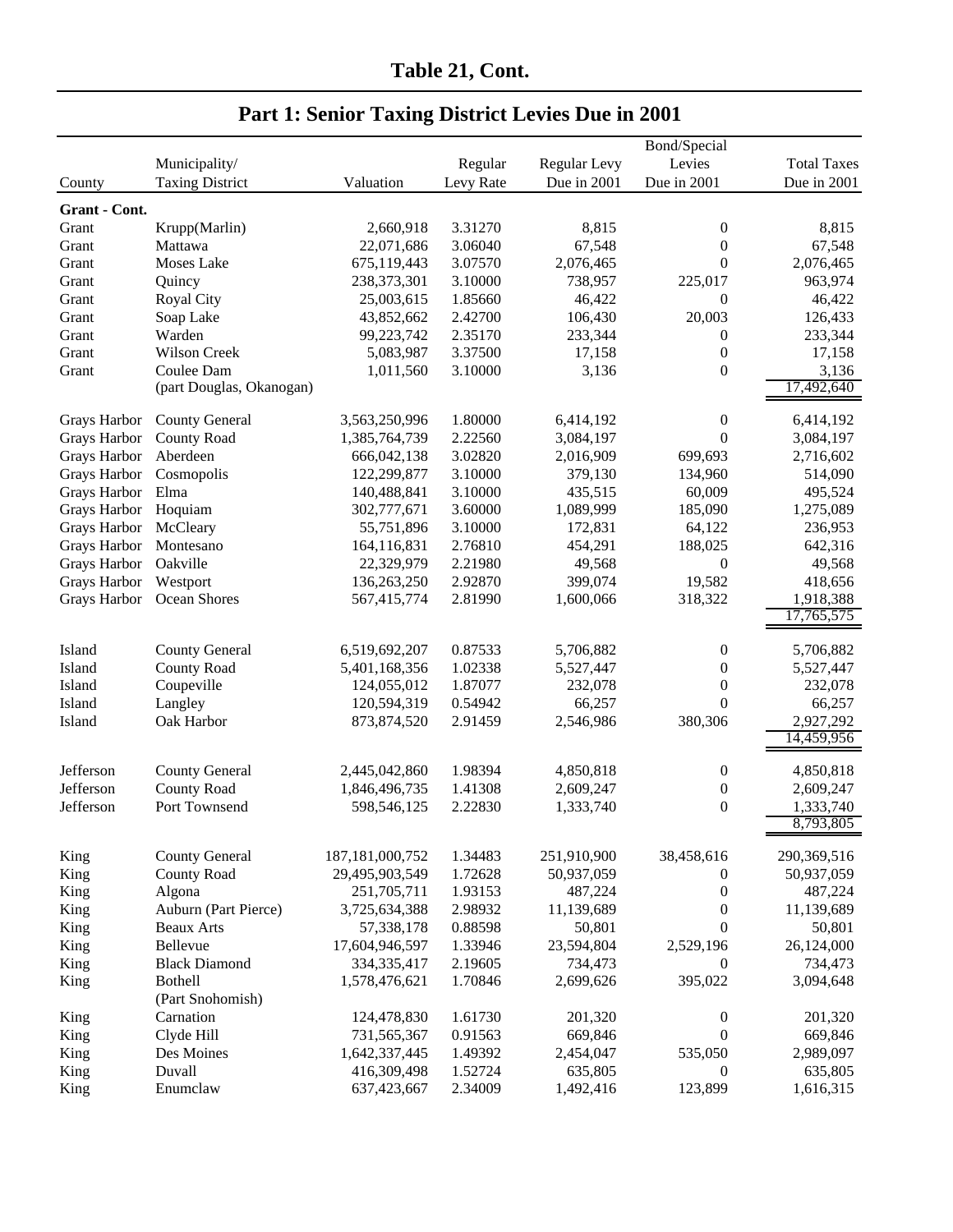|               |                          |                    |           |              | Bond/Special     |                         |
|---------------|--------------------------|--------------------|-----------|--------------|------------------|-------------------------|
|               | Municipality/            |                    | Regular   | Regular Levy | Levies           | <b>Total Taxes</b>      |
| County        | <b>Taxing District</b>   | Valuation          | Levy Rate | Due in 2001  | Due in 2001      | Due in 2001             |
|               |                          |                    |           |              |                  |                         |
| Grant - Cont. |                          |                    |           |              |                  |                         |
| Grant         | Krupp(Marlin)            | 2,660,918          | 3.31270   | 8,815        | $\boldsymbol{0}$ | 8,815                   |
| Grant         | Mattawa                  | 22,071,686         | 3.06040   | 67,548       | $\boldsymbol{0}$ | 67,548                  |
| Grant         | Moses Lake               | 675,119,443        | 3.07570   | 2,076,465    | $\boldsymbol{0}$ | 2,076,465               |
| Grant         | Quincy                   | 238, 373, 301      | 3.10000   | 738,957      | 225,017          | 963,974                 |
| Grant         | <b>Royal City</b>        | 25,003,615         | 1.85660   | 46,422       | $\boldsymbol{0}$ | 46,422                  |
| Grant         | Soap Lake                | 43,852,662         | 2.42700   | 106,430      | 20,003           | 126,433                 |
| Grant         | Warden                   | 99,223,742         | 2.35170   | 233,344      | $\boldsymbol{0}$ | 233,344                 |
| Grant         | Wilson Creek             | 5,083,987          | 3.37500   | 17,158       | $\boldsymbol{0}$ | 17,158                  |
| Grant         | Coulee Dam               | 1,011,560          | 3.10000   | 3,136        | $\boldsymbol{0}$ | 3,136                   |
|               | (part Douglas, Okanogan) |                    |           |              |                  | 17,492,640              |
| Grays Harbor  | <b>County General</b>    | 3,563,250,996      | 1.80000   | 6,414,192    | $\boldsymbol{0}$ | 6,414,192               |
| Grays Harbor  | <b>County Road</b>       | 1,385,764,739      | 2.22560   | 3,084,197    | $\theta$         | 3,084,197               |
| Grays Harbor  | Aberdeen                 | 666,042,138        | 3.02820   | 2,016,909    | 699,693          | 2,716,602               |
| Grays Harbor  | Cosmopolis               | 122,299,877        | 3.10000   | 379,130      | 134,960          | 514,090                 |
| Grays Harbor  | Elma                     | 140,488,841        | 3.10000   | 435,515      | 60,009           | 495,524                 |
| Grays Harbor  | Hoquiam                  | 302,777,671        | 3.60000   | 1,089,999    | 185,090          | 1,275,089               |
| Grays Harbor  | McCleary                 | 55,751,896         | 3.10000   | 172,831      | 64,122           | 236,953                 |
|               | Montesano                |                    | 2.76810   | 454,291      | 188,025          | 642,316                 |
| Grays Harbor  | Oakville                 | 164,116,831        |           |              |                  |                         |
| Grays Harbor  |                          | 22,329,979         | 2.21980   | 49,568       | $\boldsymbol{0}$ | 49,568                  |
| Grays Harbor  | Westport                 | 136,263,250        | 2.92870   | 399,074      | 19,582           | 418,656                 |
| Grays Harbor  | Ocean Shores             | 567,415,774        | 2.81990   | 1,600,066    | 318,322          | 1,918,388<br>17,765,575 |
|               |                          |                    |           |              |                  |                         |
| Island        | <b>County General</b>    | 6,519,692,207      | 0.87533   | 5,706,882    | $\boldsymbol{0}$ | 5,706,882               |
| Island        | <b>County Road</b>       | 5,401,168,356      | 1.02338   | 5,527,447    | $\boldsymbol{0}$ | 5,527,447               |
| Island        | Coupeville               | 124,055,012        | 1.87077   | 232,078      | $\boldsymbol{0}$ | 232,078                 |
| Island        | Langley                  | 120,594,319        | 0.54942   | 66,257       | $\theta$         | 66,257                  |
| Island        | Oak Harbor               | 873, 874, 520      | 2.91459   | 2,546,986    | 380,306          | 2,927,292               |
|               |                          |                    |           |              |                  | 14,459,956              |
|               |                          |                    |           |              |                  |                         |
| Jefferson     | <b>County General</b>    | 2,445,042,860      | 1.98394   | 4,850,818    | $\boldsymbol{0}$ | 4,850,818               |
| Jefferson     | <b>County Road</b>       | 1,846,496,735      | 1.41308   | 2,609,247    | $\boldsymbol{0}$ | 2,609,247               |
| Jefferson     | Port Townsend            | 598,546,125        | 2.22830   | 1,333,740    | $\theta$         | 1,333,740               |
|               |                          |                    |           |              |                  | 8,793,805               |
| King          | <b>County General</b>    | 187, 181, 000, 752 | 1.34483   | 251,910,900  | 38,458,616       | 290,369,516             |
| King          | <b>County Road</b>       | 29,495,903,549     | 1.72628   | 50,937,059   | $\boldsymbol{0}$ | 50,937,059              |
| King          | Algona                   | 251,705,711        | 1.93153   | 487,224      | $\boldsymbol{0}$ | 487,224                 |
| King          | Auburn (Part Pierce)     | 3,725,634,388      | 2.98932   | 11,139,689   | $\boldsymbol{0}$ | 11,139,689              |
| King          | <b>Beaux Arts</b>        | 57,338,178         | 0.88598   | 50,801       | $\theta$         | 50,801                  |
| King          | Bellevue                 | 17,604,946,597     | 1.33946   | 23,594,804   | 2,529,196        | 26,124,000              |
| King          | <b>Black Diamond</b>     | 334, 335, 417      | 2.19605   | 734,473      | $\boldsymbol{0}$ | 734,473                 |
|               |                          |                    | 1.70846   | 2,699,626    | 395,022          |                         |
| King          | Bothell                  | 1,578,476,621      |           |              |                  | 3,094,648               |
|               | (Part Snohomish)         |                    |           |              |                  |                         |
| King          | Carnation                | 124,478,830        | 1.61730   | 201,320      | $\boldsymbol{0}$ | 201,320                 |
| King          | Clyde Hill               | 731,565,367        | 0.91563   | 669,846      | $\boldsymbol{0}$ | 669,846                 |
| King          | Des Moines               | 1,642,337,445      | 1.49392   | 2,454,047    | 535,050          | 2,989,097               |
| King          | Duvall                   | 416,309,498        | 1.52724   | 635,805      | 0                | 635,805                 |
| King          | Enumclaw                 | 637,423,667        | 2.34009   | 1,492,416    | 123,899          | 1,616,315               |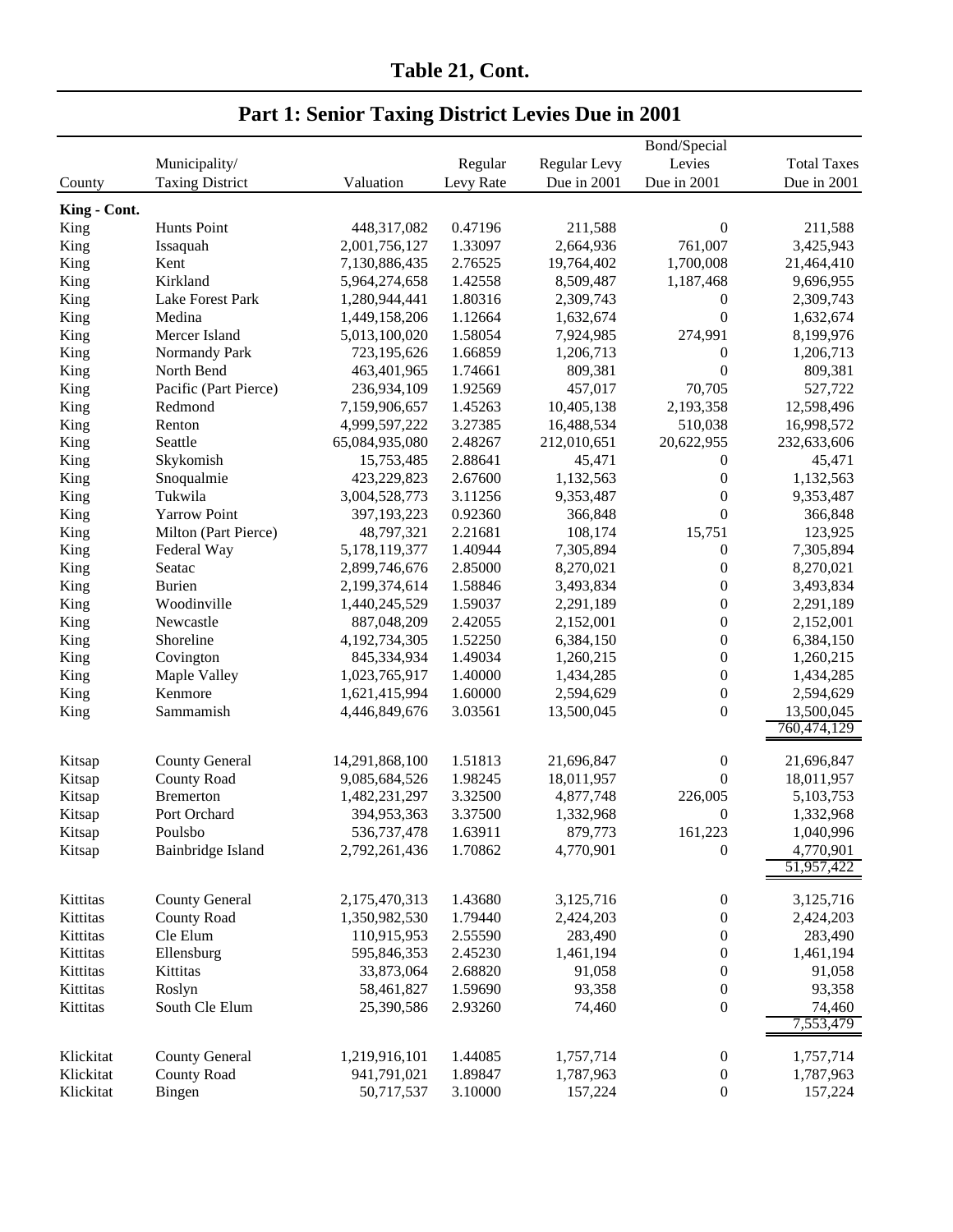## **Table 21, Cont.**

|              | Municipality/          |                | Regular   | Regular Levy | Bond/Special<br>Levies | <b>Total Taxes</b> |
|--------------|------------------------|----------------|-----------|--------------|------------------------|--------------------|
| County       | <b>Taxing District</b> | Valuation      | Levy Rate | Due in 2001  | Due in 2001            | Due in 2001        |
| King - Cont. |                        |                |           |              |                        |                    |
| King         | Hunts Point            | 448,317,082    | 0.47196   | 211,588      | $\boldsymbol{0}$       | 211,588            |
| King         | Issaquah               | 2,001,756,127  | 1.33097   | 2,664,936    | 761,007                | 3,425,943          |
| King         | Kent                   | 7,130,886,435  | 2.76525   | 19,764,402   | 1,700,008              | 21,464,410         |
| King         | Kirkland               | 5,964,274,658  | 1.42558   | 8,509,487    | 1,187,468              | 9,696,955          |
| King         | Lake Forest Park       | 1,280,944,441  | 1.80316   | 2,309,743    | 0                      | 2,309,743          |
| King         | Medina                 | 1,449,158,206  | 1.12664   | 1,632,674    | $\boldsymbol{0}$       | 1,632,674          |
| King         | Mercer Island          | 5,013,100,020  | 1.58054   | 7,924,985    | 274,991                | 8,199,976          |
| King         | Normandy Park          | 723,195,626    | 1.66859   | 1,206,713    | $\boldsymbol{0}$       | 1,206,713          |
| King         | North Bend             | 463,401,965    | 1.74661   | 809,381      | $\boldsymbol{0}$       | 809,381            |
| King         | Pacific (Part Pierce)  | 236,934,109    | 1.92569   | 457,017      | 70,705                 | 527,722            |
| King         | Redmond                | 7,159,906,657  | 1.45263   | 10,405,138   | 2,193,358              | 12,598,496         |
| King         | Renton                 | 4,999,597,222  | 3.27385   | 16,488,534   | 510,038                | 16,998,572         |
| King         | Seattle                | 65,084,935,080 | 2.48267   | 212,010,651  | 20,622,955             | 232,633,606        |
| King         | Skykomish              | 15,753,485     | 2.88641   | 45,471       | $\boldsymbol{0}$       | 45,471             |
| King         | Snoqualmie             | 423,229,823    | 2.67600   | 1,132,563    | $\boldsymbol{0}$       | 1,132,563          |
| King         | Tukwila                | 3,004,528,773  | 3.11256   | 9,353,487    | $\boldsymbol{0}$       | 9,353,487          |
| King         | <b>Yarrow Point</b>    | 397,193,223    | 0.92360   | 366,848      | $\boldsymbol{0}$       | 366,848            |
| King         | Milton (Part Pierce)   | 48,797,321     | 2.21681   | 108,174      | 15,751                 | 123,925            |
| King         | Federal Way            | 5,178,119,377  | 1.40944   | 7,305,894    | $\boldsymbol{0}$       | 7,305,894          |
| King         | Seatac                 | 2,899,746,676  | 2.85000   | 8,270,021    | $\boldsymbol{0}$       | 8,270,021          |
| King         | <b>Burien</b>          | 2,199,374,614  | 1.58846   | 3,493,834    | $\boldsymbol{0}$       | 3,493,834          |
| King         | Woodinville            | 1,440,245,529  | 1.59037   | 2,291,189    | $\boldsymbol{0}$       | 2,291,189          |
| King         | Newcastle              | 887,048,209    | 2.42055   | 2,152,001    | $\boldsymbol{0}$       | 2,152,001          |
| King         | Shoreline              | 4,192,734,305  | 1.52250   | 6,384,150    | $\boldsymbol{0}$       | 6,384,150          |
| King         | Covington              | 845,334,934    | 1.49034   | 1,260,215    | $\boldsymbol{0}$       | 1,260,215          |
| King         | Maple Valley           | 1,023,765,917  | 1.40000   | 1,434,285    | $\boldsymbol{0}$       | 1,434,285          |
| King         | Kenmore                | 1,621,415,994  | 1.60000   | 2,594,629    | $\boldsymbol{0}$       | 2,594,629          |
| King         | Sammamish              | 4,446,849,676  | 3.03561   | 13,500,045   | $\boldsymbol{0}$       | 13,500,045         |
|              |                        |                |           |              |                        | 760,474,129        |
| Kitsap       | <b>County General</b>  | 14,291,868,100 | 1.51813   | 21,696,847   | $\boldsymbol{0}$       | 21,696,847         |
| Kitsap       | <b>County Road</b>     | 9,085,684,526  | 1.98245   | 18,011,957   | $\mathbf{0}$           | 18,011,957         |
| Kitsap       | <b>Bremerton</b>       | 1,482,231,297  | 3.32500   | 4,877,748    | 226,005                | 5,103,753          |
| Kitsap       | Port Orchard           | 394,953,363    | 3.37500   | 1,332,968    | $\boldsymbol{0}$       | 1,332,968          |
| Kitsap       | Poulsbo                | 536,737,478    | 1.63911   | 879,773      | 161,223                | 1,040,996          |
| Kitsap       | Bainbridge Island      | 2,792,261,436  | 1.70862   | 4,770,901    | $\theta$               | 4,770,901          |
|              |                        |                |           |              |                        | 51,957,422         |
| Kittitas     | <b>County General</b>  | 2,175,470,313  | 1.43680   | 3,125,716    | $\boldsymbol{0}$       | 3,125,716          |
| Kittitas     | <b>County Road</b>     | 1,350,982,530  | 1.79440   | 2,424,203    | $\boldsymbol{0}$       | 2,424,203          |
| Kittitas     | Cle Elum               | 110,915,953    | 2.55590   | 283,490      | $\boldsymbol{0}$       | 283,490            |
| Kittitas     | Ellensburg             | 595,846,353    | 2.45230   | 1,461,194    | $\boldsymbol{0}$       | 1,461,194          |
| Kittitas     | Kittitas               | 33,873,064     | 2.68820   | 91,058       | $\boldsymbol{0}$       | 91,058             |
| Kittitas     | Roslyn                 | 58,461,827     | 1.59690   | 93,358       | $\boldsymbol{0}$       | 93,358             |
| Kittitas     | South Cle Elum         | 25,390,586     | 2.93260   | 74,460       | $\boldsymbol{0}$       | 74,460             |
|              |                        |                |           |              |                        | 7,553,479          |
| Klickitat    | <b>County General</b>  | 1,219,916,101  | 1.44085   | 1,757,714    | $\boldsymbol{0}$       | 1,757,714          |
| Klickitat    | <b>County Road</b>     | 941,791,021    | 1.89847   | 1,787,963    | $\boldsymbol{0}$       | 1,787,963          |
| Klickitat    | Bingen                 | 50,717,537     | 3.10000   | 157,224      | $\boldsymbol{0}$       | 157,224            |
|              |                        |                |           |              |                        |                    |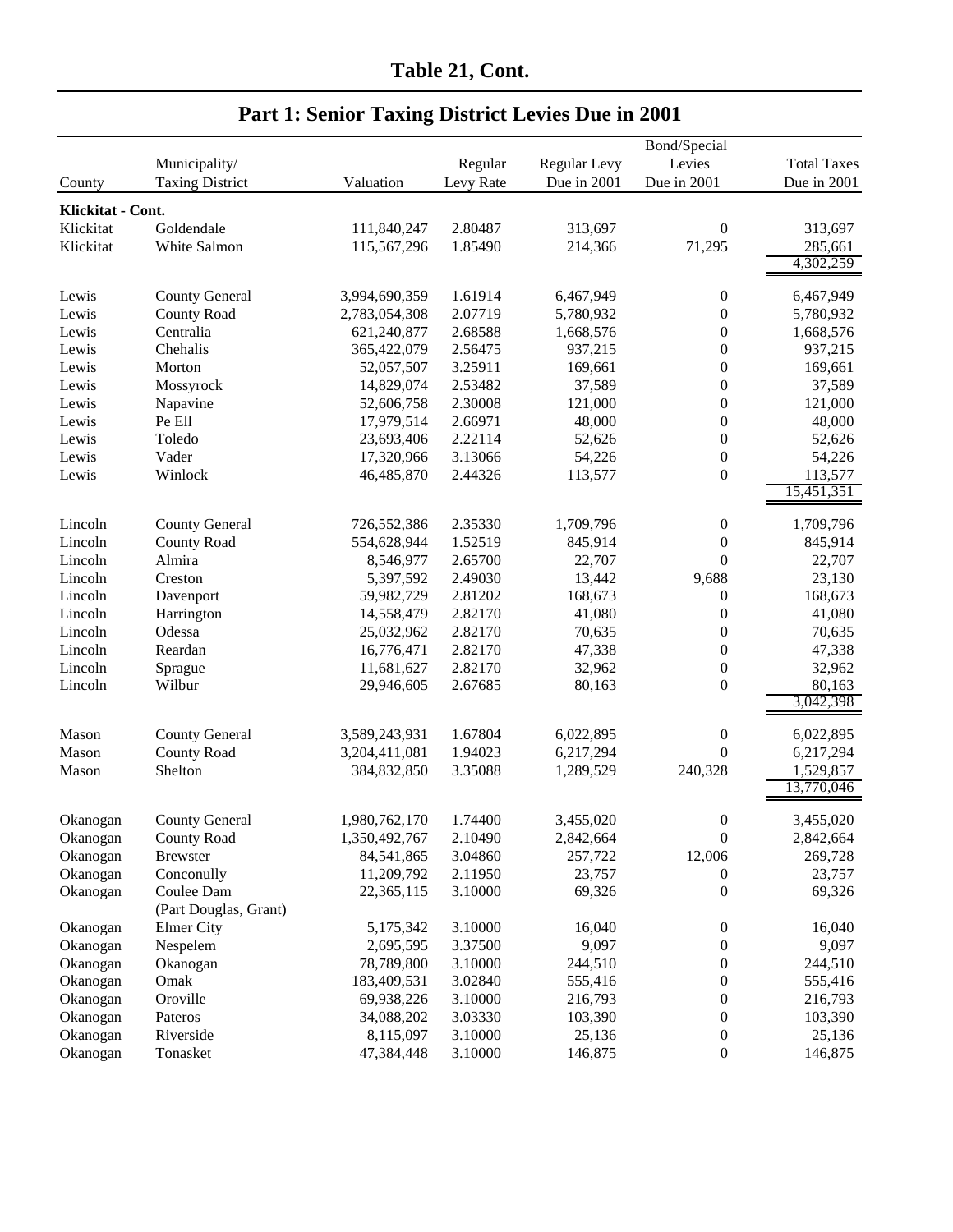|                    |                        | Bond/Special  |                    |                  |                                      |                    |  |  |
|--------------------|------------------------|---------------|--------------------|------------------|--------------------------------------|--------------------|--|--|
|                    | Municipality/          |               | Regular            | Regular Levy     | Levies                               | <b>Total Taxes</b> |  |  |
| County             | <b>Taxing District</b> | Valuation     | Levy Rate          | Due in 2001      | Due in 2001                          | Due in 2001        |  |  |
| Klickitat - Cont.  |                        |               |                    |                  |                                      |                    |  |  |
| Klickitat          | Goldendale             | 111,840,247   | 2.80487            | 313,697          | $\boldsymbol{0}$                     | 313,697            |  |  |
| Klickitat          | White Salmon           | 115,567,296   | 1.85490            | 214,366          | 71,295                               | 285,661            |  |  |
|                    |                        |               |                    |                  |                                      | 4,302,259          |  |  |
|                    |                        |               |                    |                  |                                      |                    |  |  |
| Lewis              | <b>County General</b>  | 3,994,690,359 | 1.61914            | 6,467,949        | $\boldsymbol{0}$                     | 6,467,949          |  |  |
| Lewis              | <b>County Road</b>     | 2,783,054,308 | 2.07719            | 5,780,932        | $\boldsymbol{0}$                     | 5,780,932          |  |  |
| Lewis              | Centralia              | 621,240,877   | 2.68588            | 1,668,576        | $\boldsymbol{0}$                     | 1,668,576          |  |  |
| Lewis              | Chehalis               | 365,422,079   | 2.56475            | 937,215          | $\boldsymbol{0}$                     | 937,215            |  |  |
| Lewis              | Morton                 | 52,057,507    | 3.25911            | 169,661          | $\boldsymbol{0}$                     | 169,661            |  |  |
| Lewis              | Mossyrock              | 14,829,074    | 2.53482            | 37,589           | $\boldsymbol{0}$                     | 37,589             |  |  |
| Lewis              | Napavine               | 52,606,758    | 2.30008            | 121,000          | $\boldsymbol{0}$                     | 121,000            |  |  |
| Lewis              | Pe Ell                 | 17,979,514    | 2.66971            | 48,000           | $\boldsymbol{0}$                     | 48,000             |  |  |
| Lewis              | Toledo                 | 23,693,406    | 2.22114            | 52,626           | $\boldsymbol{0}$                     | 52,626             |  |  |
| Lewis              | Vader                  | 17,320,966    | 3.13066            | 54,226           | $\boldsymbol{0}$                     | 54,226             |  |  |
| Lewis              | Winlock                | 46,485,870    | 2.44326            | 113,577          | $\boldsymbol{0}$                     | 113,577            |  |  |
|                    |                        |               |                    |                  |                                      | 15,451,351         |  |  |
|                    |                        |               |                    |                  |                                      |                    |  |  |
| Lincoln            | <b>County General</b>  | 726,552,386   | 2.35330<br>1.52519 | 1,709,796        | $\boldsymbol{0}$                     | 1,709,796          |  |  |
| Lincoln            | <b>County Road</b>     | 554,628,944   |                    | 845,914          | $\boldsymbol{0}$                     | 845,914<br>22,707  |  |  |
| Lincoln            | Almira                 | 8,546,977     | 2.65700            | 22,707           | $\boldsymbol{0}$                     |                    |  |  |
| Lincoln            | Creston                | 5,397,592     | 2.49030            | 13,442           | 9,688                                | 23,130             |  |  |
| Lincoln            | Davenport              | 59,982,729    | 2.81202            | 168,673          | $\boldsymbol{0}$                     | 168,673            |  |  |
| Lincoln            | Harrington             | 14,558,479    | 2.82170            | 41,080           | $\boldsymbol{0}$                     | 41,080             |  |  |
| Lincoln            | Odessa                 | 25,032,962    | 2.82170            | 70,635           | $\boldsymbol{0}$                     | 70,635             |  |  |
| Lincoln<br>Lincoln | Reardan                | 16,776,471    | 2.82170<br>2.82170 | 47,338<br>32,962 | $\boldsymbol{0}$<br>$\boldsymbol{0}$ | 47,338<br>32,962   |  |  |
|                    | Sprague<br>Wilbur      | 11,681,627    | 2.67685            | 80,163           |                                      | 80,163             |  |  |
| Lincoln            |                        | 29,946,605    |                    |                  | $\boldsymbol{0}$                     | 3,042,398          |  |  |
|                    |                        |               |                    |                  |                                      |                    |  |  |
| Mason              | <b>County General</b>  | 3,589,243,931 | 1.67804            | 6,022,895        | $\boldsymbol{0}$                     | 6,022,895          |  |  |
| Mason              | <b>County Road</b>     | 3,204,411,081 | 1.94023            | 6,217,294        | 0                                    | 6,217,294          |  |  |
| Mason              | Shelton                | 384,832,850   | 3.35088            | 1,289,529        | 240,328                              | 1,529,857          |  |  |
|                    |                        |               |                    |                  |                                      | 13,770,046         |  |  |
| Okanogan           | <b>County General</b>  | 1,980,762,170 | 1.74400            | 3,455,020        | $\boldsymbol{0}$                     | 3,455,020          |  |  |
| Okanogan           | <b>County Road</b>     | 1,350,492,767 | 2.10490            | 2,842,664        | $\boldsymbol{0}$                     | 2,842,664          |  |  |
| Okanogan           | <b>Brewster</b>        | 84,541,865    | 3.04860            | 257,722          | 12,006                               | 269,728            |  |  |
| Okanogan           | Conconully             | 11,209,792    | 2.11950            | 23,757           | $\boldsymbol{0}$                     | 23,757             |  |  |
| Okanogan           | Coulee Dam             | 22,365,115    | 3.10000            | 69,326           | 0                                    | 69,326             |  |  |
|                    | (Part Douglas, Grant)  |               |                    |                  |                                      |                    |  |  |
| Okanogan           | Elmer City             | 5,175,342     | 3.10000            | 16,040           | $\boldsymbol{0}$                     | 16,040             |  |  |
| Okanogan           | Nespelem               | 2,695,595     | 3.37500            | 9,097            | $\boldsymbol{0}$                     | 9,097              |  |  |
| Okanogan           | Okanogan               | 78,789,800    | 3.10000            | 244,510          | $\boldsymbol{0}$                     | 244,510            |  |  |
| Okanogan           | Omak                   | 183,409,531   | 3.02840            | 555,416          | $\boldsymbol{0}$                     | 555,416            |  |  |
| Okanogan           | Oroville               | 69,938,226    | 3.10000            | 216,793          | $\boldsymbol{0}$                     | 216,793            |  |  |
| Okanogan           | Pateros                | 34,088,202    | 3.03330            | 103,390          | $\boldsymbol{0}$                     | 103,390            |  |  |
| Okanogan           | Riverside              | 8,115,097     | 3.10000            | 25,136           | $\boldsymbol{0}$                     | 25,136             |  |  |
| Okanogan           | Tonasket               | 47,384,448    | 3.10000            | 146,875          | $\boldsymbol{0}$                     | 146,875            |  |  |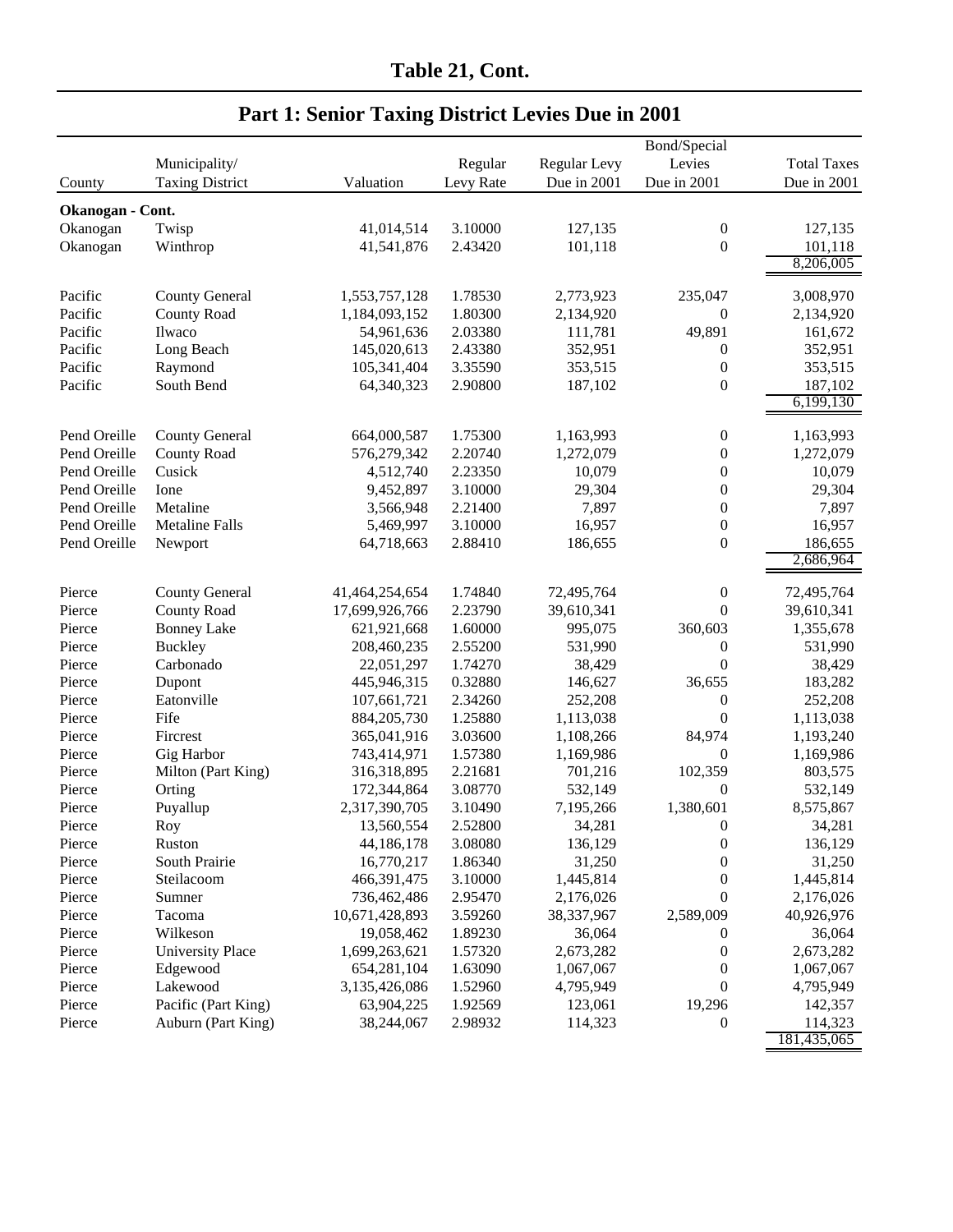|                  |                         | Bond/Special   |           |              |                                  |                    |  |  |
|------------------|-------------------------|----------------|-----------|--------------|----------------------------------|--------------------|--|--|
|                  | Municipality/           |                | Regular   | Regular Levy | Levies                           | <b>Total Taxes</b> |  |  |
| County           | <b>Taxing District</b>  | Valuation      | Levy Rate | Due in 2001  | Due in 2001                      | Due in 2001        |  |  |
|                  |                         |                |           |              |                                  |                    |  |  |
| Okanogan - Cont. |                         |                |           |              |                                  |                    |  |  |
| Okanogan         | Twisp                   | 41,014,514     | 3.10000   | 127,135      | $\boldsymbol{0}$                 | 127,135            |  |  |
| Okanogan         | Winthrop                | 41,541,876     | 2.43420   | 101,118      | $\boldsymbol{0}$                 | 101,118            |  |  |
|                  |                         |                |           |              |                                  | 8,206,005          |  |  |
| Pacific          | <b>County General</b>   | 1,553,757,128  | 1.78530   | 2,773,923    | 235,047                          | 3,008,970          |  |  |
| Pacific          | <b>County Road</b>      | 1,184,093,152  | 1.80300   | 2,134,920    | $\boldsymbol{0}$                 | 2,134,920          |  |  |
| Pacific          | Ilwaco                  | 54,961,636     | 2.03380   | 111,781      | 49,891                           | 161,672            |  |  |
| Pacific          | Long Beach              | 145,020,613    | 2.43380   | 352,951      | $\boldsymbol{0}$                 | 352,951            |  |  |
| Pacific          | Raymond                 | 105,341,404    | 3.35590   | 353,515      | $\boldsymbol{0}$                 | 353,515            |  |  |
| Pacific          | South Bend              | 64,340,323     | 2.90800   | 187,102      | $\boldsymbol{0}$                 | 187,102            |  |  |
|                  |                         |                |           |              |                                  | 6,199,130          |  |  |
|                  |                         |                |           |              |                                  |                    |  |  |
| Pend Oreille     | <b>County General</b>   | 664,000,587    | 1.75300   | 1,163,993    | $\boldsymbol{0}$                 | 1,163,993          |  |  |
| Pend Oreille     | County Road             | 576,279,342    | 2.20740   | 1,272,079    | $\boldsymbol{0}$                 | 1,272,079          |  |  |
| Pend Oreille     | Cusick                  | 4,512,740      | 2.23350   | 10,079       | $\boldsymbol{0}$                 | 10,079             |  |  |
| Pend Oreille     | Ione                    | 9,452,897      | 3.10000   | 29,304       | $\boldsymbol{0}$                 | 29,304             |  |  |
| Pend Oreille     | Metaline                | 3,566,948      | 2.21400   | 7,897        | $\boldsymbol{0}$                 | 7,897              |  |  |
| Pend Oreille     | <b>Metaline Falls</b>   | 5,469,997      | 3.10000   | 16,957       | $\boldsymbol{0}$                 | 16,957             |  |  |
| Pend Oreille     | Newport                 | 64,718,663     | 2.88410   | 186,655      | $\boldsymbol{0}$                 | 186,655            |  |  |
|                  |                         |                |           |              |                                  | 2,686,964          |  |  |
|                  |                         |                |           |              |                                  |                    |  |  |
| Pierce           | <b>County General</b>   | 41,464,254,654 | 1.74840   | 72,495,764   | $\boldsymbol{0}$<br>$\mathbf{0}$ | 72,495,764         |  |  |
| Pierce           | <b>County Road</b>      | 17,699,926,766 | 2.23790   | 39,610,341   |                                  | 39,610,341         |  |  |
| Pierce           | <b>Bonney Lake</b>      | 621,921,668    | 1.60000   | 995,075      | 360,603                          | 1,355,678          |  |  |
| Pierce           | <b>Buckley</b>          | 208,460,235    | 2.55200   | 531,990      | $\boldsymbol{0}$                 | 531,990            |  |  |
| Pierce           | Carbonado               | 22,051,297     | 1.74270   | 38,429       | $\boldsymbol{0}$                 | 38,429             |  |  |
| Pierce           | Dupont                  | 445,946,315    | 0.32880   | 146,627      | 36,655                           | 183,282            |  |  |
| Pierce           | Eatonville              | 107,661,721    | 2.34260   | 252,208      | $\boldsymbol{0}$                 | 252,208            |  |  |
| Pierce           | Fife                    | 884,205,730    | 1.25880   | 1,113,038    | $\boldsymbol{0}$                 | 1,113,038          |  |  |
| Pierce           | Fircrest                | 365,041,916    | 3.03600   | 1,108,266    | 84,974                           | 1,193,240          |  |  |
| Pierce           | Gig Harbor              | 743,414,971    | 1.57380   | 1,169,986    | $\theta$                         | 1,169,986          |  |  |
| Pierce           | Milton (Part King)      | 316,318,895    | 2.21681   | 701,216      | 102,359                          | 803,575            |  |  |
| Pierce           | Orting                  | 172,344,864    | 3.08770   | 532,149      | $\mathbf{0}$                     | 532,149            |  |  |
| Pierce           | Puyallup                | 2,317,390,705  | 3.10490   | 7,195,266    | 1,380,601                        | 8,575,867          |  |  |
| Pierce           | Roy                     | 13,560,554     | 2.52800   | 34,281       | $\theta$                         | 34,281             |  |  |
| Pierce           | Ruston                  | 44,186,178     | 3.08080   | 136,129      | $\boldsymbol{0}$                 | 136,129            |  |  |
| Pierce           | South Prairie           | 16,770,217     | 1.86340   | 31,250       | $\boldsymbol{0}$                 | 31,250             |  |  |
| Pierce           | Steilacoom              | 466,391,475    | 3.10000   | 1,445,814    | $\boldsymbol{0}$                 | 1,445,814          |  |  |
| Pierce           | Sumner                  | 736,462,486    | 2.95470   | 2,176,026    | $\boldsymbol{0}$                 | 2,176,026          |  |  |
| Pierce           | Tacoma                  | 10,671,428,893 | 3.59260   | 38,337,967   | 2,589,009                        | 40,926,976         |  |  |
| Pierce           | Wilkeson                | 19,058,462     | 1.89230   | 36,064       | 0                                | 36,064             |  |  |
| Pierce           | <b>University Place</b> | 1,699,263,621  | 1.57320   | 2,673,282    | $\boldsymbol{0}$                 | 2,673,282          |  |  |
| Pierce           | Edgewood                | 654,281,104    | 1.63090   | 1,067,067    | $\boldsymbol{0}$                 | 1,067,067          |  |  |
| Pierce           | Lakewood                | 3,135,426,086  | 1.52960   | 4,795,949    | $\boldsymbol{0}$                 | 4,795,949          |  |  |
| Pierce           | Pacific (Part King)     | 63,904,225     | 1.92569   | 123,061      | 19,296                           | 142,357            |  |  |
| Pierce           | Auburn (Part King)      | 38,244,067     | 2.98932   | 114,323      | $\theta$                         | 114,323            |  |  |
|                  |                         |                |           |              |                                  | 181,435,065        |  |  |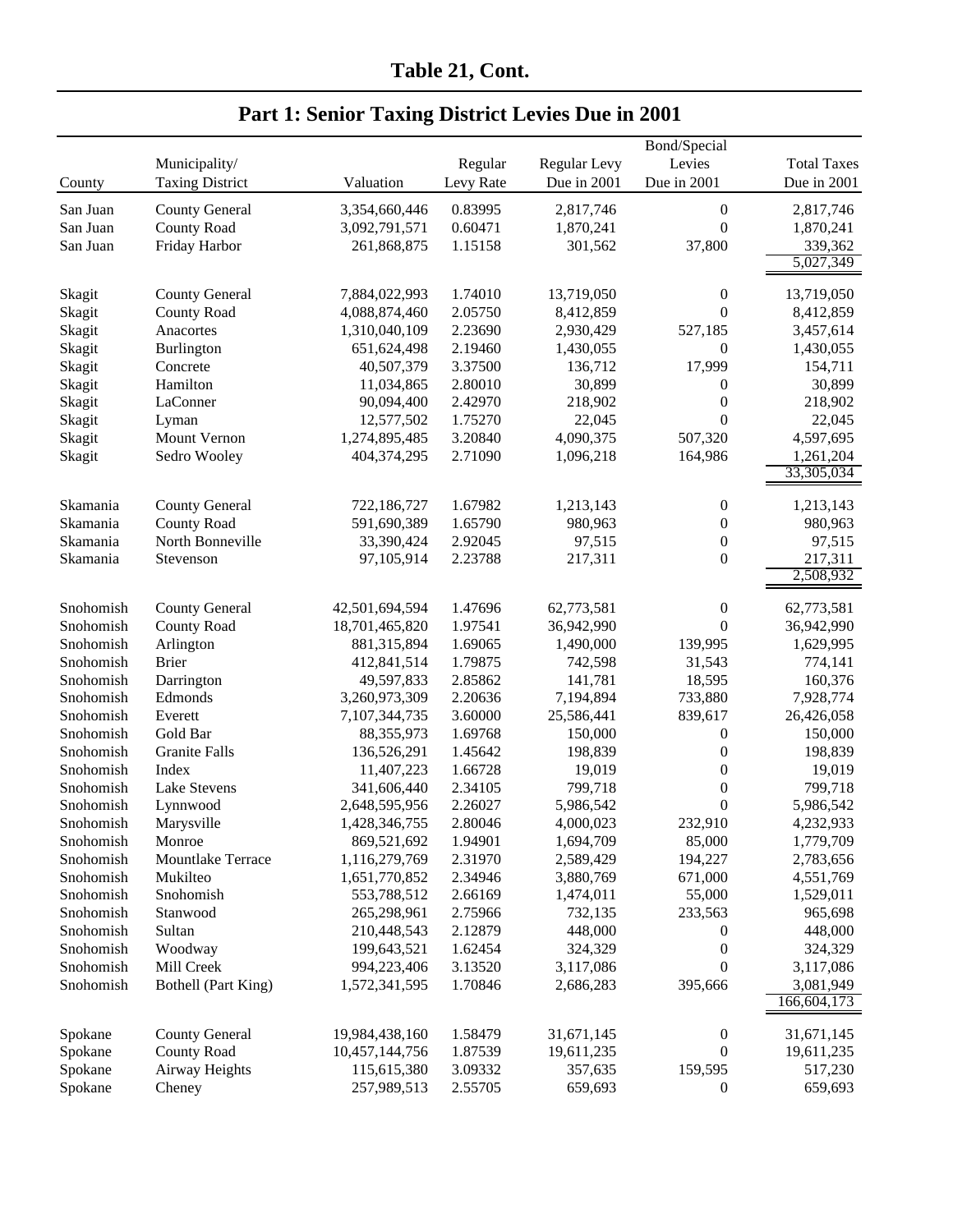|           |                        |                |           |                     | Bond/Special     |                          |
|-----------|------------------------|----------------|-----------|---------------------|------------------|--------------------------|
|           | Municipality/          |                | Regular   | <b>Regular Levy</b> | Levies           | <b>Total Taxes</b>       |
| County    | <b>Taxing District</b> | Valuation      | Levy Rate | Due in 2001         | Due in 2001      | Due in 2001              |
|           |                        |                |           |                     |                  |                          |
| San Juan  | <b>County General</b>  | 3,354,660,446  | 0.83995   | 2,817,746           | $\boldsymbol{0}$ | 2,817,746                |
| San Juan  | <b>County Road</b>     | 3,092,791,571  | 0.60471   | 1,870,241           | $\boldsymbol{0}$ | 1,870,241                |
| San Juan  | Friday Harbor          | 261,868,875    | 1.15158   | 301,562             | 37,800           | 339,362                  |
|           |                        |                |           |                     |                  | 5,027,349                |
| Skagit    | <b>County General</b>  | 7,884,022,993  | 1.74010   | 13,719,050          | $\boldsymbol{0}$ | 13,719,050               |
| Skagit    | <b>County Road</b>     | 4,088,874,460  | 2.05750   | 8,412,859           | $\boldsymbol{0}$ | 8,412,859                |
| Skagit    | Anacortes              | 1,310,040,109  | 2.23690   | 2,930,429           | 527,185          | 3,457,614                |
| Skagit    | <b>Burlington</b>      | 651,624,498    | 2.19460   | 1,430,055           | $\mathbf{0}$     | 1,430,055                |
| Skagit    | Concrete               | 40,507,379     | 3.37500   | 136,712             | 17,999           | 154,711                  |
| Skagit    | Hamilton               | 11,034,865     | 2.80010   | 30,899              | 0                | 30,899                   |
| Skagit    | LaConner               | 90,094,400     | 2.42970   | 218,902             | $\boldsymbol{0}$ | 218,902                  |
| Skagit    | Lyman                  | 12,577,502     | 1.75270   | 22,045              | $\overline{0}$   | 22,045                   |
| Skagit    | Mount Vernon           | 1,274,895,485  | 3.20840   | 4,090,375           | 507,320          | 4,597,695                |
| Skagit    | Sedro Wooley           | 404,374,295    | 2.71090   | 1,096,218           | 164,986          | 1,261,204                |
|           |                        |                |           |                     |                  | 33,305,034               |
|           |                        |                |           |                     |                  |                          |
| Skamania  | <b>County General</b>  | 722,186,727    | 1.67982   | 1,213,143           | $\boldsymbol{0}$ | 1,213,143                |
| Skamania  | <b>County Road</b>     | 591,690,389    | 1.65790   | 980,963             | $\boldsymbol{0}$ | 980,963                  |
| Skamania  | North Bonneville       | 33,390,424     | 2.92045   | 97,515              | $\boldsymbol{0}$ | 97,515                   |
| Skamania  | Stevenson              | 97,105,914     | 2.23788   | 217,311             | $\boldsymbol{0}$ | 217,311                  |
|           |                        |                |           |                     |                  | 2,508,932                |
|           |                        |                |           |                     |                  |                          |
| Snohomish | <b>County General</b>  | 42,501,694,594 | 1.47696   | 62,773,581          | $\boldsymbol{0}$ | 62,773,581               |
| Snohomish | <b>County Road</b>     | 18,701,465,820 | 1.97541   | 36,942,990          | $\overline{0}$   | 36,942,990               |
| Snohomish | Arlington              | 881,315,894    | 1.69065   | 1,490,000           | 139,995          | 1,629,995                |
| Snohomish | <b>Brier</b>           | 412,841,514    | 1.79875   | 742,598             | 31,543           | 774,141                  |
| Snohomish | Darrington             | 49,597,833     | 2.85862   | 141,781             | 18,595           | 160,376                  |
| Snohomish | Edmonds                | 3,260,973,309  | 2.20636   | 7,194,894           | 733,880          | 7,928,774                |
| Snohomish | Everett                | 7,107,344,735  | 3.60000   | 25,586,441          | 839,617          | 26,426,058               |
| Snohomish | Gold Bar               | 88, 355, 973   | 1.69768   | 150,000             | $\boldsymbol{0}$ | 150,000                  |
| Snohomish | <b>Granite Falls</b>   | 136,526,291    | 1.45642   | 198,839             | $\boldsymbol{0}$ | 198,839                  |
| Snohomish | Index                  | 11,407,223     | 1.66728   | 19,019              | $\boldsymbol{0}$ | 19,019                   |
| Snohomish | <b>Lake Stevens</b>    | 341,606,440    | 2.34105   | 799,718             | $\boldsymbol{0}$ | 799,718                  |
| Snohomish | Lynnwood               | 2,648,595,956  | 2.26027   | 5,986,542           | $\boldsymbol{0}$ | 5,986,542                |
| Snohomish | Marysville             | 1,428,346,755  | 2.80046   | 4,000,023           | 232,910          | 4,232,933                |
| Snohomish | Monroe                 | 869,521,692    | 1.94901   | 1,694,709           | 85,000           | 1,779,709                |
| Snohomish | Mountlake Terrace      | 1,116,279,769  | 2.31970   | 2,589,429           | 194,227          | 2,783,656                |
| Snohomish | Mukilteo               | 1,651,770,852  | 2.34946   | 3,880,769           | 671,000          | 4,551,769                |
| Snohomish | Snohomish              | 553,788,512    | 2.66169   | 1,474,011           | 55,000           | 1,529,011                |
| Snohomish | Stanwood               | 265,298,961    | 2.75966   | 732,135             | 233,563          | 965,698                  |
| Snohomish | Sultan                 | 210,448,543    | 2.12879   | 448,000             | 0                | 448,000                  |
| Snohomish | Woodway                | 199,643,521    | 1.62454   | 324,329             | $\boldsymbol{0}$ | 324,329                  |
| Snohomish | Mill Creek             | 994,223,406    | 3.13520   | 3,117,086           | $\boldsymbol{0}$ | 3,117,086                |
| Snohomish | Bothell (Part King)    | 1,572,341,595  | 1.70846   | 2,686,283           | 395,666          | 3,081,949<br>166,604,173 |
|           |                        |                |           |                     |                  |                          |
| Spokane   | <b>County General</b>  | 19,984,438,160 | 1.58479   | 31,671,145          | $\boldsymbol{0}$ | 31,671,145               |
| Spokane   | <b>County Road</b>     | 10,457,144,756 | 1.87539   | 19,611,235          | 0                | 19,611,235               |
| Spokane   | Airway Heights         | 115,615,380    | 3.09332   | 357,635             | 159,595          | 517,230                  |
| Spokane   | Cheney                 | 257,989,513    | 2.55705   | 659,693             | $\boldsymbol{0}$ | 659,693                  |
|           |                        |                |           |                     |                  |                          |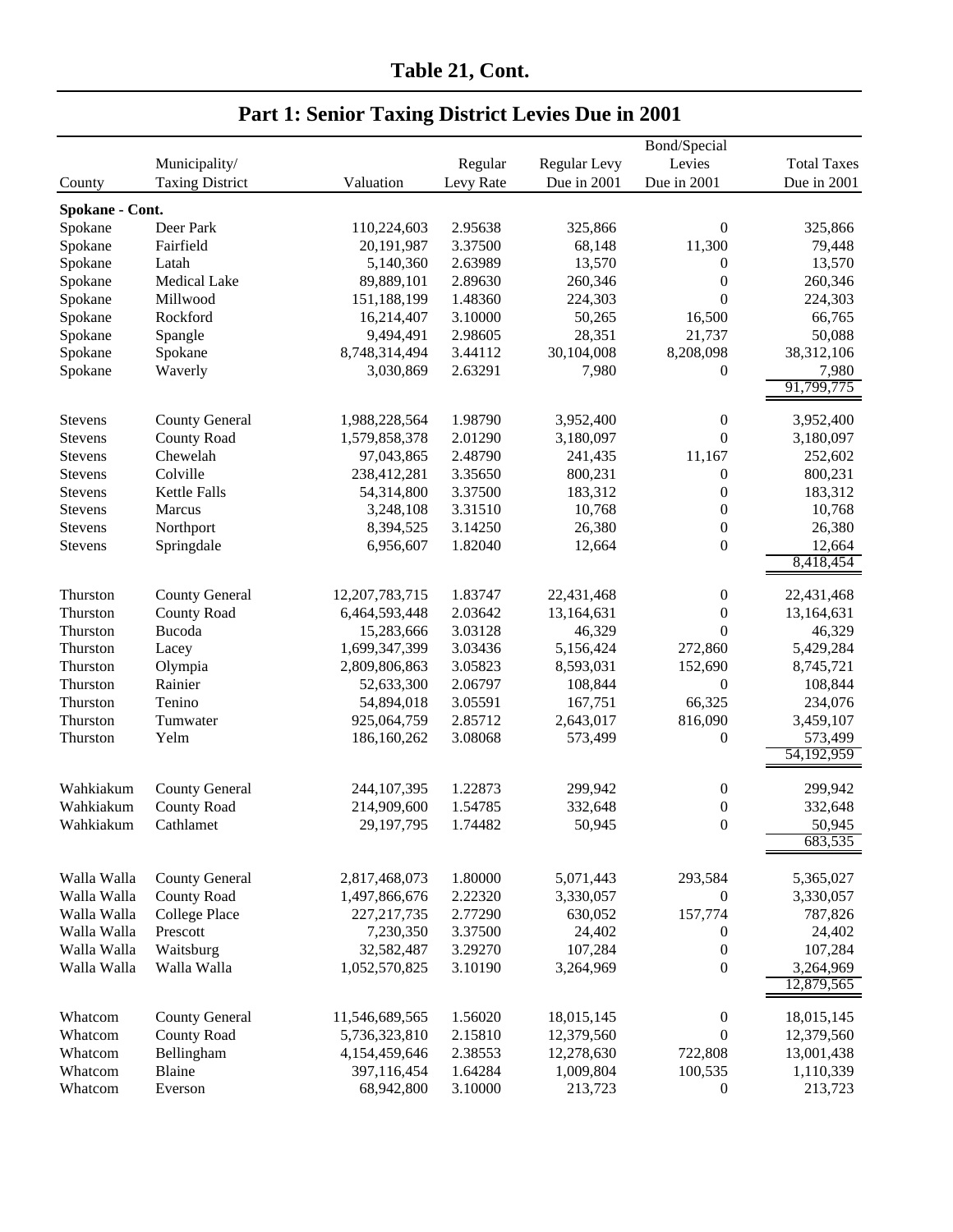|                 |                        |                |           |              | Bond/Special     |                    |
|-----------------|------------------------|----------------|-----------|--------------|------------------|--------------------|
|                 | Municipality/          |                | Regular   | Regular Levy | Levies           | <b>Total Taxes</b> |
| County          | <b>Taxing District</b> | Valuation      | Levy Rate | Due in 2001  | Due in 2001      | Due in 2001        |
| Spokane - Cont. |                        |                |           |              |                  |                    |
| Spokane         | Deer Park              | 110,224,603    | 2.95638   | 325,866      | 0                | 325,866            |
| Spokane         | Fairfield              | 20,191,987     | 3.37500   | 68,148       | 11,300           | 79,448             |
| Spokane         | Latah                  | 5,140,360      | 2.63989   | 13,570       | $\boldsymbol{0}$ | 13,570             |
| Spokane         | Medical Lake           | 89,889,101     | 2.89630   | 260,346      | $\boldsymbol{0}$ | 260,346            |
| Spokane         | Millwood               | 151,188,199    | 1.48360   | 224,303      | $\boldsymbol{0}$ | 224,303            |
| Spokane         | Rockford               | 16,214,407     | 3.10000   | 50,265       | 16,500           | 66,765             |
| Spokane         | Spangle                | 9,494,491      | 2.98605   | 28,351       | 21,737           | 50,088             |
| Spokane         | Spokane                | 8,748,314,494  | 3.44112   | 30,104,008   | 8,208,098        | 38,312,106         |
| Spokane         | Waverly                | 3,030,869      | 2.63291   | 7,980        | $\boldsymbol{0}$ | 7,980              |
|                 |                        |                |           |              |                  | 91,799,775         |
|                 |                        |                |           |              |                  |                    |
| <b>Stevens</b>  | <b>County General</b>  | 1,988,228,564  | 1.98790   | 3,952,400    | $\boldsymbol{0}$ | 3,952,400          |
| <b>Stevens</b>  | <b>County Road</b>     | 1,579,858,378  | 2.01290   | 3,180,097    | $\boldsymbol{0}$ | 3,180,097          |
| Stevens         | Chewelah               | 97,043,865     | 2.48790   | 241,435      | 11,167           | 252,602            |
| Stevens         | Colville               | 238,412,281    | 3.35650   | 800,231      | $\boldsymbol{0}$ | 800,231            |
| Stevens         | Kettle Falls           | 54,314,800     | 3.37500   | 183,312      | $\boldsymbol{0}$ | 183,312            |
| Stevens         | Marcus                 | 3,248,108      | 3.31510   | 10,768       | $\boldsymbol{0}$ | 10,768             |
| <b>Stevens</b>  | Northport              | 8,394,525      | 3.14250   | 26,380       | $\boldsymbol{0}$ | 26,380             |
| <b>Stevens</b>  | Springdale             | 6,956,607      | 1.82040   | 12,664       | $\boldsymbol{0}$ | 12,664             |
|                 |                        |                |           |              |                  | 8,418,454          |
| Thurston        | <b>County General</b>  | 12,207,783,715 | 1.83747   | 22,431,468   | $\boldsymbol{0}$ | 22,431,468         |
| Thurston        | <b>County Road</b>     | 6,464,593,448  | 2.03642   | 13,164,631   | $\boldsymbol{0}$ | 13,164,631         |
| Thurston        | Bucoda                 | 15,283,666     | 3.03128   | 46,329       | $\theta$         | 46,329             |
| Thurston        | Lacey                  | 1,699,347,399  | 3.03436   | 5,156,424    | 272,860          | 5,429,284          |
| Thurston        | Olympia                | 2,809,806,863  | 3.05823   | 8,593,031    | 152,690          | 8,745,721          |
| Thurston        | Rainier                | 52,633,300     | 2.06797   | 108,844      | $\boldsymbol{0}$ | 108,844            |
| Thurston        | Tenino                 | 54,894,018     | 3.05591   | 167,751      | 66,325           | 234,076            |
| Thurston        | Tumwater               | 925,064,759    | 2.85712   | 2,643,017    | 816,090          | 3,459,107          |
| Thurston        | Yelm                   | 186,160,262    | 3.08068   | 573,499      | $\boldsymbol{0}$ | 573,499            |
|                 |                        |                |           |              |                  | 54,192,959         |
|                 |                        |                |           |              |                  |                    |
| Wahkiakum       | <b>County General</b>  | 244,107,395    | 1.22873   | 299,942      | $\boldsymbol{0}$ | 299,942            |
| Wahkiakum       | <b>County Road</b>     | 214,909,600    | 1.54785   | 332,648      | $\boldsymbol{0}$ | 332,648            |
| Wahkiakum       | Cathlamet              | 29,197,795     | 1.74482   | 50,945       | $\theta$         | 50,945             |
|                 |                        |                |           |              |                  | 683,535            |
|                 |                        |                |           |              |                  |                    |
| Walla Walla     | <b>County General</b>  | 2,817,468,073  | 1.80000   | 5,071,443    | 293,584          | 5,365,027          |
| Walla Walla     | <b>County Road</b>     | 1,497,866,676  | 2.22320   | 3,330,057    | $\boldsymbol{0}$ | 3,330,057          |
| Walla Walla     | <b>College Place</b>   | 227, 217, 735  | 2.77290   | 630,052      | 157,774          | 787,826            |
| Walla Walla     | Prescott               | 7,230,350      | 3.37500   | 24,402       | $\boldsymbol{0}$ | 24,402             |
| Walla Walla     | Waitsburg              | 32,582,487     | 3.29270   | 107,284      | $\boldsymbol{0}$ | 107,284            |
| Walla Walla     | Walla Walla            | 1,052,570,825  | 3.10190   | 3,264,969    | $\boldsymbol{0}$ | 3,264,969          |
|                 |                        |                |           |              |                  | 12,879,565         |
| Whatcom         | <b>County General</b>  | 11,546,689,565 | 1.56020   | 18,015,145   | $\boldsymbol{0}$ | 18,015,145         |
| Whatcom         | <b>County Road</b>     | 5,736,323,810  | 2.15810   | 12,379,560   | $\boldsymbol{0}$ | 12,379,560         |
| Whatcom         | Bellingham             | 4,154,459,646  | 2.38553   | 12,278,630   | 722,808          | 13,001,438         |
| Whatcom         | Blaine                 | 397,116,454    | 1.64284   | 1,009,804    | 100,535          | 1,110,339          |
| Whatcom         | Everson                | 68,942,800     | 3.10000   | 213,723      | $\boldsymbol{0}$ | 213,723            |
|                 |                        |                |           |              |                  |                    |